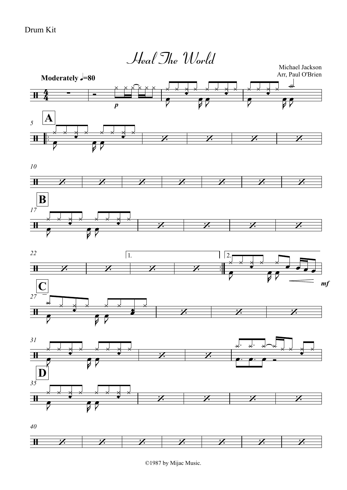

<sup>©1987</sup> by Mijac Music.